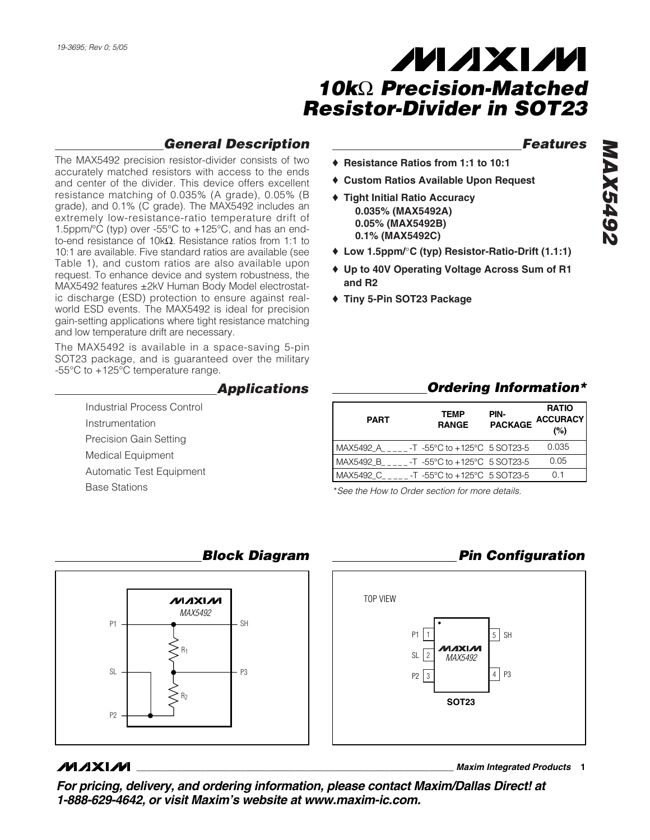# *General Description*

The MAX5492 precision resistor-divider consists of two accurately matched resistors with access to the ends and center of the divider. This device offers excellent resistance matching of 0.035% (A grade), 0.05% (B grade), and 0.1% (C grade). The MAX5492 includes an extremely low-resistance-ratio temperature drift of 1.5ppm/ $\degree$ C (typ) over -55 $\degree$ C to +125 $\degree$ C, and has an endto-end resistance of 10kΩ. Resistance ratios from 1:1 to 10:1 are available. Five standard ratios are available (see Table 1), and custom ratios are also available upon request. To enhance device and system robustness, the MAX5492 features ±2kV Human Body Model electrostatic discharge (ESD) protection to ensure against realworld ESD events. The MAX5492 is ideal for precision gain-setting applications where tight resistance matching and low temperature drift are necessary.

The MAX5492 is available in a space-saving 5-pin SOT23 package, and is guaranteed over the military -55°C to +125°C temperature range.

#### *Applications*

Industrial Process Control Instrumentation Precision Gain Setting Medical Equipment Automatic Test Equipment Base Stations

#### *Features*

- ♦ **Resistance Ratios from 1:1 to 10:1**
- ♦ **Custom Ratios Available Upon Request**
- ♦ **Tight Initial Ratio Accuracy 0.035% (MAX5492A) 0.05% (MAX5492B) 0.1% (MAX5492C)**
- ♦ **Low 1.5ppm/**°**C (typ) Resistor-Ratio-Drift (1.1:1)**
- ♦ **Up to 40V Operating Voltage Across Sum of R1 and R2**
- ♦ **Tiny 5-Pin SOT23 Package**

| <b>PART</b> | <b>TEMP</b><br><b>RANGE</b>                         | PIN-<br><b>PACKAGE</b> | <b>RATIO</b><br><b>ACCURACY</b><br>(%) |
|-------------|-----------------------------------------------------|------------------------|----------------------------------------|
| MAX5492 A   | $-T - 55^{\circ}C$ to $+125^{\circ}C$ 5 SOT23-5     |                        | 0.035                                  |
| MAX5492 B   | $-$ T $-55^{\circ}$ C to $+125^{\circ}$ C 5 SOT23-5 |                        | 0.05                                   |
| MAX5492 C   | -T -55°C to +125°C 5 SOT23-5                        |                        | ი 1                                    |

\**See the How to Order section for more details.*

P2 3

**SOT23**

**MAYAM** 

SL 2 *MAX5492*

P1

TOP VIEW



### *Block Diagram*

### **MAXM**

**\_\_\_\_\_\_\_\_\_\_\_\_\_\_\_\_\_\_\_\_\_\_\_\_\_\_\_\_\_\_\_\_\_\_\_\_\_\_\_\_\_\_\_\_\_\_\_\_\_\_\_\_\_\_\_\_\_\_\_\_\_\_\_\_** *Maxim Integrated Products* **1**

 $5$  SH

*Pin Configuration*

*Ordering Information\**

 $4$  P<sub>3</sub>

*For pricing, delivery, and ordering information, please contact Maxim/Dallas Direct! at 1-888-629-4642, or visit Maxim's website at www.maxim-ic.com.*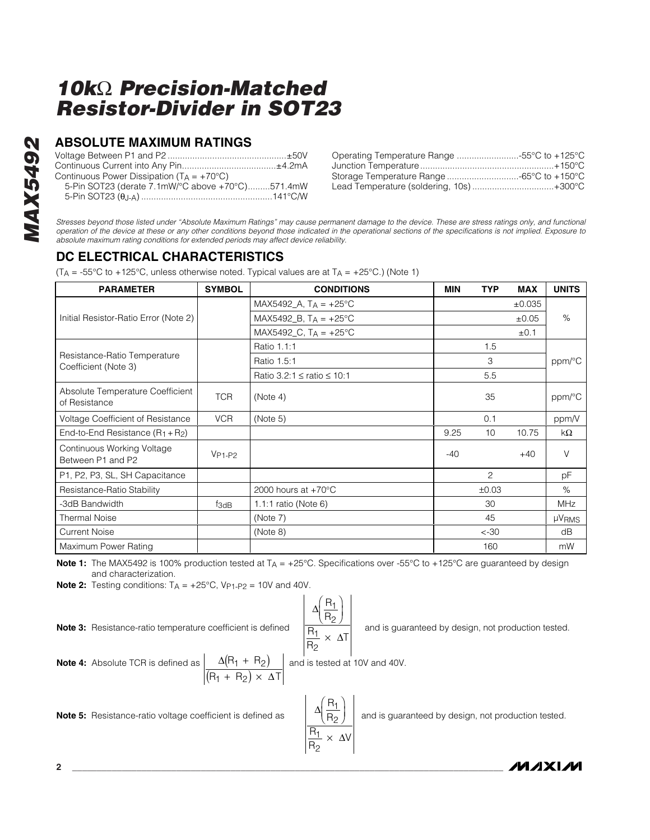## **ABSOLUTE MAXIMUM RATINGS**

| Continuous Power Dissipation $(T_A = +70^{\circ}C)$ |  |
|-----------------------------------------------------|--|
| 5-Pin SOT23 (derate 7.1mW/°C above +70°C)571.4mW    |  |
|                                                     |  |

| Operating Temperature Range 55°C to +125°C |  |
|--------------------------------------------|--|
|                                            |  |
|                                            |  |
| Lead Temperature (soldering, 10s)+300°C    |  |

*Stresses beyond those listed under "Absolute Maximum Ratings" may cause permanent damage to the device. These are stress ratings only, and functional operation of the device at these or any other conditions beyond those indicated in the operational sections of the specifications is not implied. Exposure to absolute maximum rating conditions for extended periods may affect device reliability.*

# **DC ELECTRICAL CHARACTERISTICS**

(T<sub>A</sub> = -55°C to +125°C, unless otherwise noted. Typical values are at T<sub>A</sub> = +25°C.) (Note 1)

| <b>PARAMETER</b>                                     | <b>SYMBOL</b> | <b>CONDITIONS</b>                    | <b>MIN</b> | <b>TYP</b>     | <b>MAX</b>  | <b>UNITS</b> |
|------------------------------------------------------|---------------|--------------------------------------|------------|----------------|-------------|--------------|
|                                                      |               | MAX5492_A, $T_A = +25^{\circ}C$      |            |                | $\pm 0.035$ |              |
| Initial Resistor-Ratio Error (Note 2)                |               | MAX5492_B, $T_A = +25^{\circ}C$      |            |                | ±0.05       | $\%$         |
|                                                      |               | MAX5492_C, $T_A = +25^{\circ}C$      |            |                | ±0.1        |              |
|                                                      |               | Ratio 1.1:1                          |            | 1.5            |             |              |
| Resistance-Ratio Temperature<br>Coefficient (Note 3) |               | Ratio 1.5:1                          |            | 3              |             | ppm/°C       |
|                                                      |               | Ratio 3.2:1 $\leq$ ratio $\leq$ 10:1 |            | 5.5            |             |              |
| Absolute Temperature Coefficient<br>of Resistance    | <b>TCR</b>    | (Note 4)                             |            | 35             |             | ppm/°C       |
| Voltage Coefficient of Resistance                    | <b>VCR</b>    | (Note 5)                             |            | 0.1            |             | ppm/V        |
| End-to-End Resistance $(R_1 + R_2)$                  |               |                                      | 9.25       | 10             | 10.75       | kΩ           |
| Continuous Working Voltage<br>Between P1 and P2      | $V_{P1-P2}$   |                                      | $-40$      |                | $+40$       | $\vee$       |
| P1, P2, P3, SL, SH Capacitance                       |               |                                      |            | $\overline{c}$ |             | рF           |
| Resistance-Ratio Stability                           |               | 2000 hours at $+70^{\circ}$ C        |            | ±0.03          |             | $\%$         |
| -3dB Bandwidth                                       | $f_{3dB}$     | 1.1:1 ratio (Note 6)                 |            | 30             |             | <b>MHz</b>   |
| <b>Thermal Noise</b>                                 |               | (Note 7)                             |            | 45             |             | <b>µVRMS</b> |
| <b>Current Noise</b>                                 |               | (Note 8)                             |            | $< -30$        |             | dB           |
| Maximum Power Rating                                 |               |                                      |            | 160            |             | mW           |

**Note 1:** The MAX5492 is 100% production tested at T<sub>A</sub> = +25°C. Specifications over -55°C to +125°C are guaranteed by design and characterization.

∆

 $\big($ ⎝  $\left(\frac{R_1}{R_2}\right)$ ⎠ ⎟

1

∆

 $\big($ ⎝  $\left(\frac{R_1}{R_2}\right)$ ⎠

 $\overline{1}$ 2

R R

R R

×

1 2

R R

R R

×

 $\overline{1}$ 2

∆

∆

V

T

**Note 2:** Testing conditions:  $T_A = +25^{\circ}C$ ,  $V_{P1-P2} = 10V$  and  $40V$ .

**Note 3:** Resistance-ratio temperature coefficient is defined  $\frac{1}{R_1}$ ,  $\frac{1}{R_2}$  and is guaranteed by design, not production tested.

2 ∆ ∆  $R_1 + R$  $R_1 + R_2 \times \Delta T$  $1 + H_2$ i<sub>1</sub> + H<sub>2</sub>  $(R_1 + R_2)$  $(R_1 + R_2) \times$ **Note 4:** Absolute TCR is defined as  $\begin{bmatrix} \Delta(H_1 + H_2) \\ \Delta(H_3 + H_4) \end{bmatrix}$  and is tested at 10V and 40V.

**Note 5:** Resistance-ratio voltage coefficient is defined as  $\left|\frac{\Delta\left(\frac{H_1}{H_2}\right)}{\frac{H_2}{H_2}}\right|$  and is guaranteed by design, not production tested.

**MAXIM**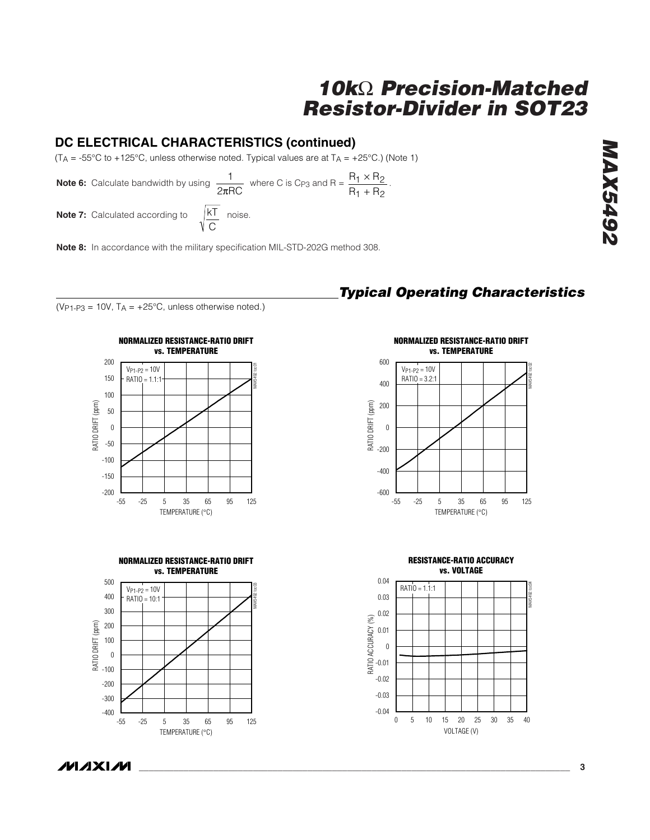# **DC ELECTRICAL CHARACTERISTICS (continued)**

(T<sub>A</sub> = -55°C to +125°C, unless otherwise noted. Typical values are at T<sub>A</sub> = +25°C.) (Note 1)

**Note 6:** Calculate bandwidth by using  $\frac{1}{2.50}$  where C is Cp<sub>3</sub> and R =  $\frac{R_1 \times R_2}{R_1 \times R_2}$ . 2πRC  $R_1 \times R$  $R_1 + R$ 1 × H<sub>2</sub>  $1 + n_2$ × +

> kT C

**Note 7:** Calculated according to

**Note 8:** In accordance with the military specification MIL-STD-202G method 308.



( $V_{P1-P3}$  = 10V,  $T_A$  = +25°C, unless otherwise noted.)



*Typical Operating Characteristics*







**MAX5492** *MAX5492*

**/VI/IXI/VI**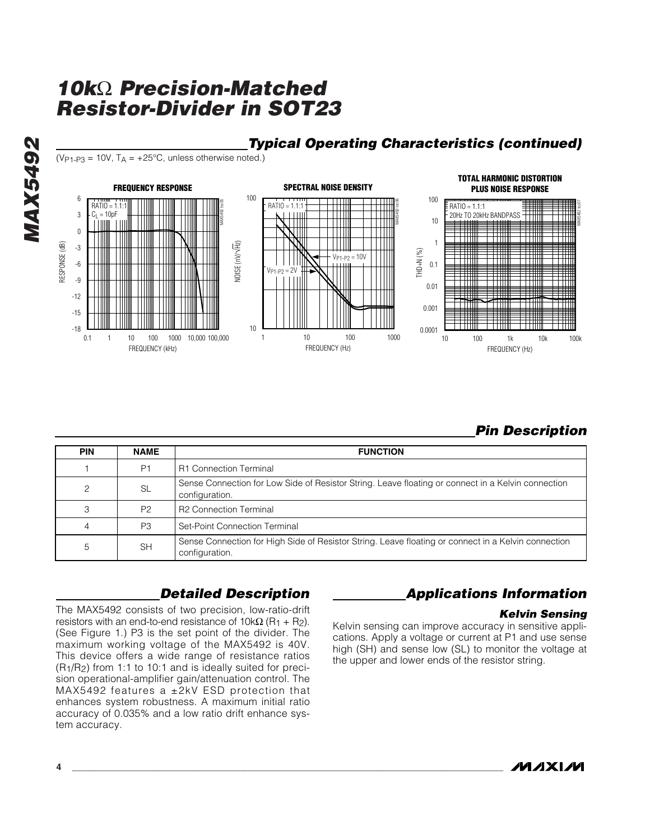

## *Typical Operating Characteristics (continued)*

( $V_{P1-P3}$  = 10V,  $T_A$  = +25°C, unless otherwise noted.)

# *Pin Description*

| <b>PIN</b>     | <b>NAME</b>    | <b>FUNCTION</b>                                                                                                       |
|----------------|----------------|-----------------------------------------------------------------------------------------------------------------------|
|                | P <sub>1</sub> | <b>R1 Connection Terminal</b>                                                                                         |
| 2              | <b>SL</b>      | Sense Connection for Low Side of Resistor String. Leave floating or connect in a Kelvin connection<br>configuration.  |
| 3              | P <sub>2</sub> | R2 Connection Terminal                                                                                                |
| $\overline{4}$ | P3             | Set-Point Connection Terminal                                                                                         |
| 5              | <b>SH</b>      | Sense Connection for High Side of Resistor String. Leave floating or connect in a Kelvin connection<br>configuration. |

# *Detailed Description*

The MAX5492 consists of two precision, low-ratio-drift resistors with an end-to-end resistance of  $10kΩ (R<sub>1</sub> + R<sub>2</sub>).$ (See Figure 1.) P3 is the set point of the divider. The maximum working voltage of the MAX5492 is 40V. This device offers a wide range of resistance ratios (R1/R2) from 1:1 to 10:1 and is ideally suited for precision operational-amplifier gain/attenuation control. The MAX5492 features a ±2kV ESD protection that enhances system robustness. A maximum initial ratio accuracy of 0.035% and a low ratio drift enhance system accuracy.

# *Applications Information*

#### *Kelvin Sensing*

Kelvin sensing can improve accuracy in sensitive applications. Apply a voltage or current at P1 and use sense high (SH) and sense low (SL) to monitor the voltage at the upper and lower ends of the resistor string.

*MAX5492*

**MAX5492**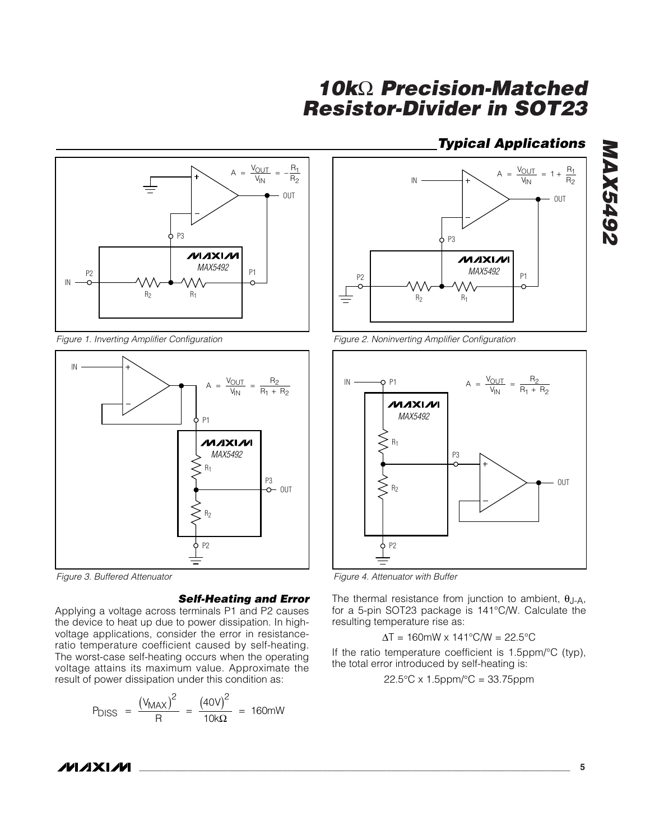# *Typical Applications*



*Figure 1. Inverting Amplifier Configuration*



*Figure 3. Buffered Attenuator*

#### *Self-Heating and Error*

Applying a voltage across terminals P1 and P2 causes the device to heat up due to power dissipation. In highvoltage applications, consider the error in resistanceratio temperature coefficient caused by self-heating. The worst-case self-heating occurs when the operating voltage attains its maximum value. Approximate the result of power dissipation under this condition as:

$$
P_{DISS} = \frac{(V_{MAX})^2}{R} = \frac{(40V)^2}{10k\Omega} = 160mW
$$



*Figure 2. Noninverting Amplifier Configuration*



*Figure 4. Attenuator with Buffer*

The thermal resistance from junction to ambient,  $\theta$ J-A, for a 5-pin SOT23 package is 141°C/W. Calculate the resulting temperature rise as:

$$
\Delta T = 160 \text{mW} \times 141^{\circ} \text{C/W} = 22.5^{\circ} \text{C}
$$

If the ratio temperature coefficient is 1.5ppm/°C (typ), the total error introduced by self-heating is:

$$
22.5^{\circ}
$$
C x 1.5ppm/°C = 33.75ppm

# *MAX5492* **Z67SXVM**

**MAXIM**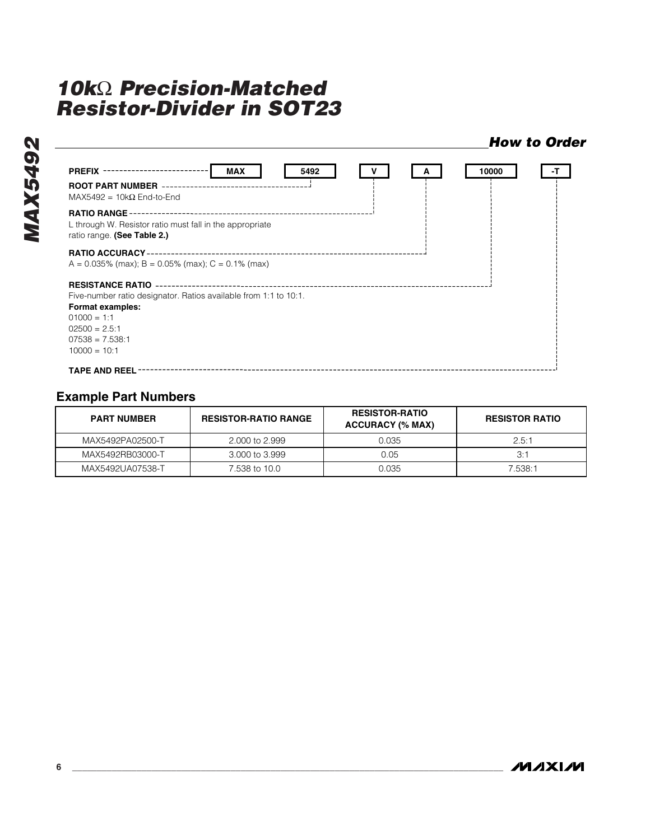#### *How to Order*

| <b>PREFIX ---------------</b><br><b>MAX</b><br>5492                                                                                                        |  | 10000 | -т |
|------------------------------------------------------------------------------------------------------------------------------------------------------------|--|-------|----|
| <b>ROOT PART NUMBER</b><br>MAX5492 = $10k\Omega$ End-to-End                                                                                                |  |       |    |
| <b>RATIO RANGE</b><br>L through W. Resistor ratio must fall in the appropriate<br>ratio range. (See Table 2.)                                              |  |       |    |
| <b>RATIO ACCURACY-</b><br>$A = 0.035\%$ (max); B = 0.05% (max); C = 0.1% (max)                                                                             |  |       |    |
| <b>RESISTANCE RATIO</b><br>Five-number ratio designator. Ratios available from 1:1 to 10:1.<br><b>Format examples:</b><br>$01000 = 1:1$<br>$02500 = 2.5:1$ |  |       |    |
| $07538 = 7.538:1$<br>$10000 = 10:1$<br><b>TAPE AND REEL</b>                                                                                                |  |       |    |

## **Example Part Numbers**

| <b>PART NUMBER</b> | <b>RESISTOR-RATIO</b><br><b>RESISTOR-RATIO RANGE</b><br><b>ACCURACY (% MAX)</b> |       | <b>RESISTOR RATIO</b> |  |
|--------------------|---------------------------------------------------------------------------------|-------|-----------------------|--|
| MAX5492PA02500-T   | 2,000 to 2,999                                                                  | 0.035 | 2.5:1                 |  |
| MAX5492RB03000-T   | 3,000 to 3,999                                                                  | 0.05  | 3:1                   |  |
| MAX5492UA07538-T   | 7.538 to 10.0                                                                   | 0.035 | 7.538:1               |  |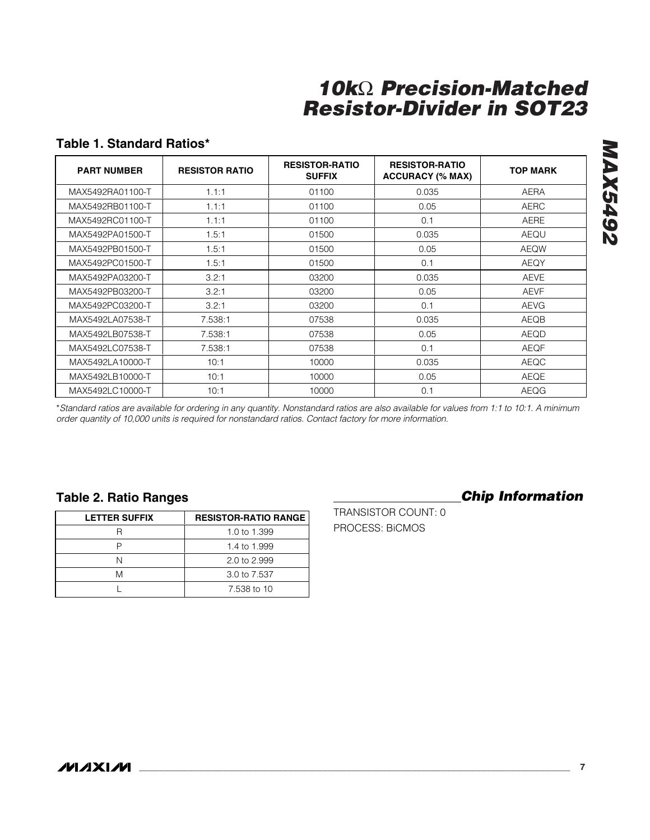# **Table 1. Standard Ratios\***

| <b>PART NUMBER</b> | <b>RESISTOR RATIO</b> | <b>RESISTOR-RATIO</b><br><b>SUFFIX</b> | <b>RESISTOR-RATIO</b><br><b>ACCURACY (% MAX)</b> | <b>TOP MARK</b> |
|--------------------|-----------------------|----------------------------------------|--------------------------------------------------|-----------------|
| MAX5492RA01100-T   | 1.1:1                 | 01100                                  | 0.035                                            | <b>AERA</b>     |
| MAX5492RB01100-T   | 1.1:1                 | 01100                                  | 0.05                                             | <b>AERC</b>     |
| MAX5492RC01100-T   | 1.1:1                 | 01100                                  | 0.1                                              | <b>AERE</b>     |
| MAX5492PA01500-T   | 1.5:1                 | 01500                                  | 0.035                                            | AEQU            |
| MAX5492PB01500-T   | 1.5:1                 | 01500                                  | 0.05                                             | <b>AEQW</b>     |
| MAX5492PC01500-T   | 1.5:1                 | 01500                                  | 0.1                                              | AEQY            |
| MAX5492PA03200-T   | 3.2:1                 | 03200                                  | 0.035                                            | <b>AEVE</b>     |
| MAX5492PB03200-T   | 3.2:1                 | 03200                                  | 0.05                                             | <b>AEVF</b>     |
| MAX5492PC03200-T   | 3.2:1                 | 03200                                  | 0.1                                              | <b>AEVG</b>     |
| MAX5492LA07538-T   | 7.538:1               | 07538                                  | 0.035                                            | AEQB            |
| MAX5492LB07538-T   | 7.538:1               | 07538                                  | 0.05                                             | AEQD            |
| MAX5492LC07538-T   | 7.538:1               | 07538                                  | 0.1                                              | <b>AEQF</b>     |
| MAX5492LA10000-T   | 10:1                  | 10000                                  | 0.035                                            | AEQC            |
| MAX5492LB10000-T   | 10:1                  | 10000                                  | 0.05                                             | AEQE            |
| MAX5492LC10000-T   | 10:1                  | 10000                                  | 0.1                                              | AEQG            |

\**Standard ratios are available for ordering in any quantity. Nonstandard ratios are also available for values from 1:1 to 10:1. A minimum order quantity of 10,000 units is required for nonstandard ratios. Contact factory for more information.* 

## **Table 2. Ratio Ranges**

| <b>LETTER SUFFIX</b> | <b>RESISTOR-RATIO RANGE</b> |
|----------------------|-----------------------------|
|                      | 1.0 to 1.399                |
|                      | 1.4 to 1.999                |
|                      | 2.0 to 2.999                |
| M                    | 3.0 to 7.537                |
|                      | 7.538 to 10                 |

### *Chip Information*

TRANSISTOR COUNT: 0 PROCESS: BiCMOS